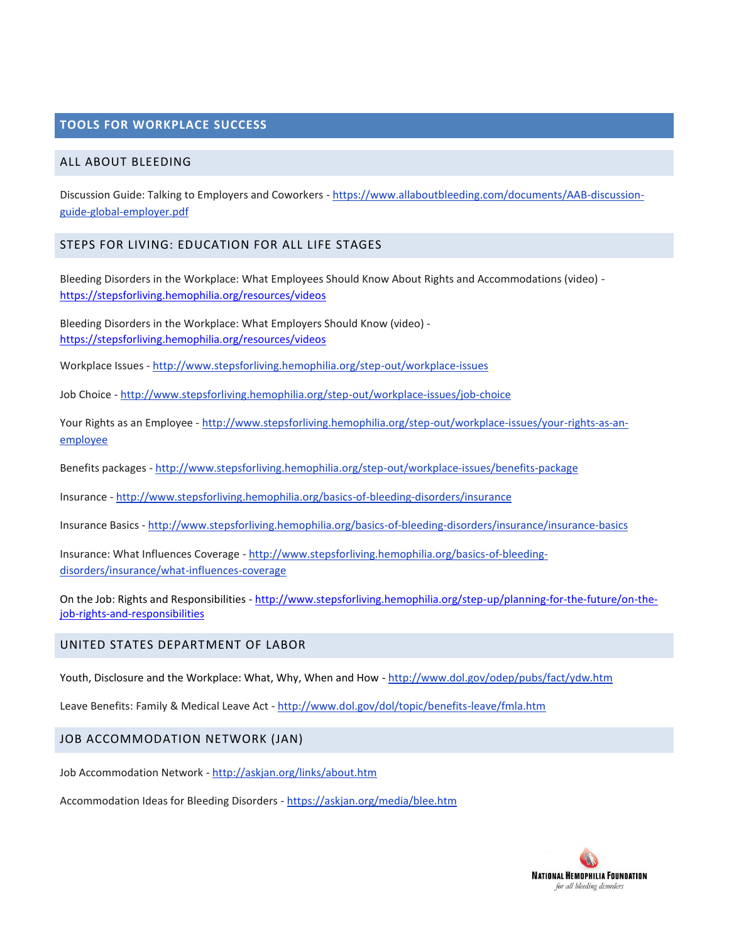## **TOOLS FOR WORKPLACE SUCCESS**

#### ALL ABOUT BLEEDING

Discussion Guide: Talking to Employers and Coworkers - [https://www.allaboutbleeding.com/documents/AAB-discussion](https://www.allaboutbleeding.com/documents/AAB-discussion-guide-global-employer.pdf)[guide-global-employer.pdf](https://www.allaboutbleeding.com/documents/AAB-discussion-guide-global-employer.pdf)

#### STEPS FOR LIVING: EDUCATION FOR ALL LIFE STAGES

Bleeding Disorders in the Workplace: What Employees Should Know About Rights and Accommodations (video) <https://stepsforliving.hemophilia.org/resources/videos>

Bleeding Disorders in the Workplace: What Employers Should Know (video) <https://stepsforliving.hemophilia.org/resources/videos>

Workplace Issues - <http://www.stepsforliving.hemophilia.org/step-out/workplace-issues>

Job Choice - <http://www.stepsforliving.hemophilia.org/step-out/workplace-issues/job-choice>

Your Rights as an Employee - [http://www.stepsforliving.hemophilia.org/step-out/workplace-issues/your-rights-as-an](http://www.stepsforliving.hemophilia.org/step-out/workplace-issues/your-rights-as-an-employee)[employee](http://www.stepsforliving.hemophilia.org/step-out/workplace-issues/your-rights-as-an-employee)

Benefits packages - <http://www.stepsforliving.hemophilia.org/step-out/workplace-issues/benefits-package>

Insurance - <http://www.stepsforliving.hemophilia.org/basics-of-bleeding-disorders/insurance>

Insurance Basics - <http://www.stepsforliving.hemophilia.org/basics-of-bleeding-disorders/insurance/insurance-basics>

Insurance: What Influences Coverage - [http://www.stepsforliving.hemophilia.org/basics-of-bleeding](http://www.stepsforliving.hemophilia.org/basics-of-bleeding-disorders/insurance/what-influences-coverage)[disorders/insurance/what-influences-coverage](http://www.stepsforliving.hemophilia.org/basics-of-bleeding-disorders/insurance/what-influences-coverage)

On the Job: Rights and Responsibilities - [http://www.stepsforliving.hemophilia.org/step-up/planning-for-the-future/on-the](http://www.stepsforliving.hemophilia.org/step-up/planning-for-the-future/on-the-job-rights-and-responsibilities)[job-rights-and-responsibilities](http://www.stepsforliving.hemophilia.org/step-up/planning-for-the-future/on-the-job-rights-and-responsibilities)

### UNITED STATES DEPARTMENT OF LABOR

Youth, Disclosure and the Workplace: What, Why, When and How - <http://www.dol.gov/odep/pubs/fact/ydw.htm>

Leave Benefits: Family & Medical Leave Act - <http://www.dol.gov/dol/topic/benefits-leave/fmla.htm>

### JOB ACCOMMODATION NETWORK (JAN)

Job Accommodation Network - <http://askjan.org/links/about.htm>

Accommodation Ideas for Bleeding Disorders - <https://askjan.org/media/blee.htm>